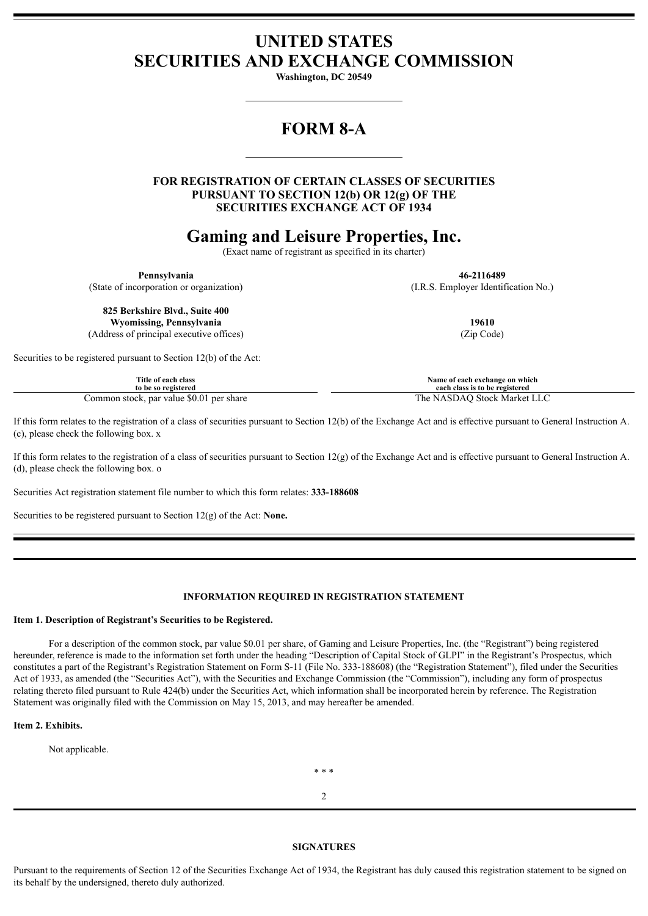## **UNITED STATES SECURITIES AND EXCHANGE COMMISSION**

**Washington, DC 20549**

# **FORM 8-A**

**FOR REGISTRATION OF CERTAIN CLASSES OF SECURITIES PURSUANT TO SECTION 12(b) OR 12(g) OF THE SECURITIES EXCHANGE ACT OF 1934**

### **Gaming and Leisure Properties, Inc.**

(Exact name of registrant as specified in its charter)

**Pennsylvania 46-2116489**

(State of incorporation or organization) (I.R.S. Employer Identification No.)

**825 Berkshire Blvd., Suite 400 Wyomissing, Pennsylvania 19610**

(Address of principal executive offices) (Zip Code)

Securities to be registered pursuant to Section 12(b) of the Act:

| Title of each class                      | Name of each exchange on which   |
|------------------------------------------|----------------------------------|
| to be so registered                      | each class is to be registered   |
| Common stock, par value \$0.01 per share | The.<br>NASDAO Stock Market LLC: |

If this form relates to the registration of a class of securities pursuant to Section 12(b) of the Exchange Act and is effective pursuant to General Instruction A. (c), please check the following box. x

If this form relates to the registration of a class of securities pursuant to Section 12(g) of the Exchange Act and is effective pursuant to General Instruction A. (d), please check the following box. o

Securities Act registration statement file number to which this form relates: **333-188608**

Securities to be registered pursuant to Section 12(g) of the Act: **None.**

#### **INFORMATION REQUIRED IN REGISTRATION STATEMENT**

#### **Item 1. Description of Registrant's Securities to be Registered.**

For a description of the common stock, par value \$0.01 per share, of Gaming and Leisure Properties, Inc. (the "Registrant") being registered hereunder, reference is made to the information set forth under the heading "Description of Capital Stock of GLPI" in the Registrant's Prospectus, which constitutes a part of the Registrant's Registration Statement on Form S-11 (File No. 333-188608) (the "Registration Statement"), filed under the Securities Act of 1933, as amended (the "Securities Act"), with the Securities and Exchange Commission (the "Commission"), including any form of prospectus relating thereto filed pursuant to Rule 424(b) under the Securities Act, which information shall be incorporated herein by reference. The Registration Statement was originally filed with the Commission on May 15, 2013, and may hereafter be amended.

**Item 2. Exhibits.**

Not applicable.

\* \* \*

 $\mathfrak{Z}$ 

#### **SIGNATURES**

Pursuant to the requirements of Section 12 of the Securities Exchange Act of 1934, the Registrant has duly caused this registration statement to be signed on its behalf by the undersigned, thereto duly authorized.